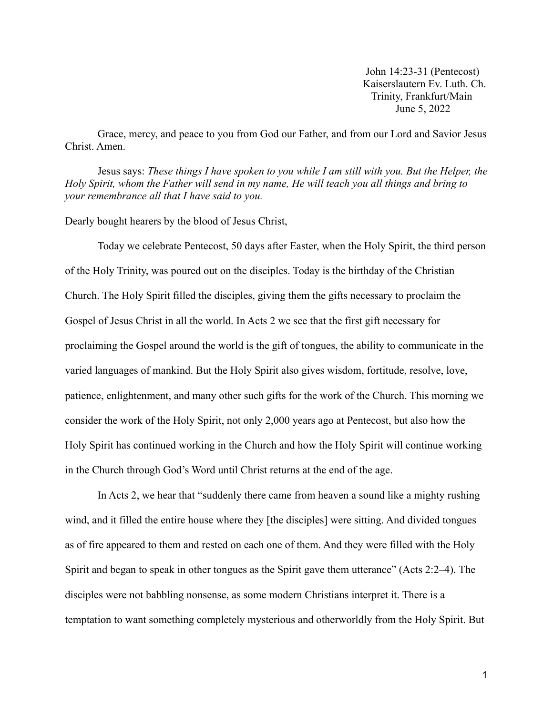John 14:23-31 (Pentecost) Kaiserslautern Ev. Luth. Ch. Trinity, Frankfurt/Main June 5, 2022

Grace, mercy, and peace to you from God our Father, and from our Lord and Savior Jesus Christ. Amen.

Jesus says: *These things I have spoken to you while I am still with you. But the Helper, the Holy Spirit, whom the Father will send in my name, He will teach you all things and bring to your remembrance all that I have said to you.*

Dearly bought hearers by the blood of Jesus Christ,

Today we celebrate Pentecost, 50 days after Easter, when the Holy Spirit, the third person of the Holy Trinity, was poured out on the disciples. Today is the birthday of the Christian Church. The Holy Spirit filled the disciples, giving them the gifts necessary to proclaim the Gospel of Jesus Christ in all the world. In Acts 2 we see that the first gift necessary for proclaiming the Gospel around the world is the gift of tongues, the ability to communicate in the varied languages of mankind. But the Holy Spirit also gives wisdom, fortitude, resolve, love, patience, enlightenment, and many other such gifts for the work of the Church. This morning we consider the work of the Holy Spirit, not only 2,000 years ago at Pentecost, but also how the Holy Spirit has continued working in the Church and how the Holy Spirit will continue working in the Church through God's Word until Christ returns at the end of the age.

In Acts 2, we hear that "suddenly there came from heaven a sound like a mighty rushing wind, and it filled the entire house where they [the disciples] were sitting. And divided tongues as of fire appeared to them and rested on each one of them. And they were filled with the Holy Spirit and began to speak in other tongues as the Spirit gave them utterance" (Acts 2:2–4). The disciples were not babbling nonsense, as some modern Christians interpret it. There is a temptation to want something completely mysterious and otherworldly from the Holy Spirit. But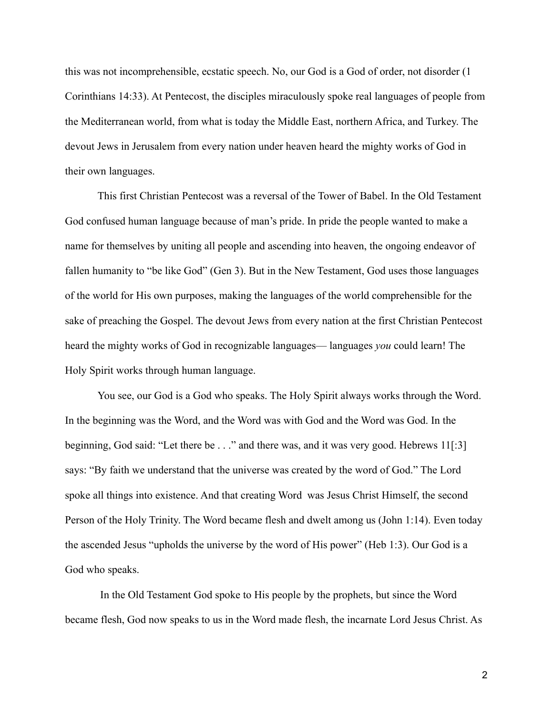this was not incomprehensible, ecstatic speech. No, our God is a God of order, not disorder (1 Corinthians 14:33). At Pentecost, the disciples miraculously spoke real languages of people from the Mediterranean world, from what is today the Middle East, northern Africa, and Turkey. The devout Jews in Jerusalem from every nation under heaven heard the mighty works of God in their own languages.

This first Christian Pentecost was a reversal of the Tower of Babel. In the Old Testament God confused human language because of man's pride. In pride the people wanted to make a name for themselves by uniting all people and ascending into heaven, the ongoing endeavor of fallen humanity to "be like God" (Gen 3). But in the New Testament, God uses those languages of the world for His own purposes, making the languages of the world comprehensible for the sake of preaching the Gospel. The devout Jews from every nation at the first Christian Pentecost heard the mighty works of God in recognizable languages— languages *you* could learn! The Holy Spirit works through human language.

You see, our God is a God who speaks. The Holy Spirit always works through the Word. In the beginning was the Word, and the Word was with God and the Word was God. In the beginning, God said: "Let there be . . ." and there was, and it was very good. Hebrews 11[:3] says: "By faith we understand that the universe was created by the word of God." The Lord spoke all things into existence. And that creating Word was Jesus Christ Himself, the second Person of the Holy Trinity. The Word became flesh and dwelt among us (John 1:14). Even today the ascended Jesus "upholds the universe by the word of His power" (Heb 1:3). Our God is a God who speaks.

In the Old Testament God spoke to His people by the prophets, but since the Word became flesh, God now speaks to us in the Word made flesh, the incarnate Lord Jesus Christ. As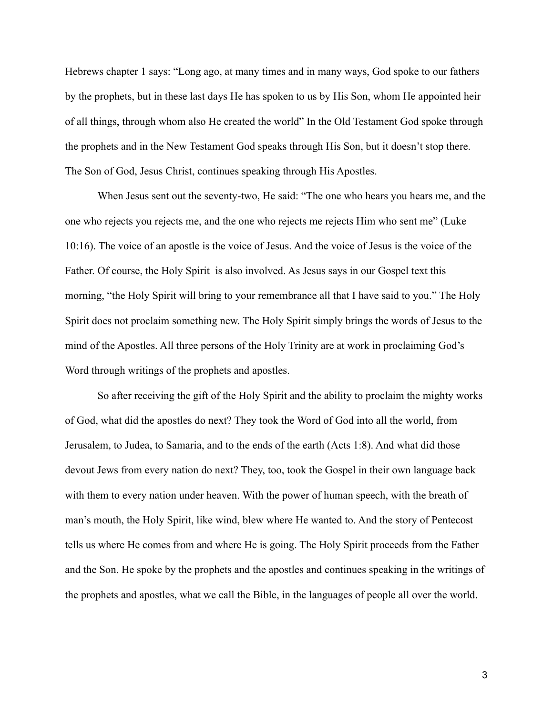Hebrews chapter 1 says: "Long ago, at many times and in many ways, God spoke to our fathers by the prophets, but in these last days He has spoken to us by His Son, whom He appointed heir of all things, through whom also He created the world" In the Old Testament God spoke through the prophets and in the New Testament God speaks through His Son, but it doesn't stop there. The Son of God, Jesus Christ, continues speaking through His Apostles.

When Jesus sent out the seventy-two, He said: "The one who hears you hears me, and the one who rejects you rejects me, and the one who rejects me rejects Him who sent me" (Luke 10:16). The voice of an apostle is the voice of Jesus. And the voice of Jesus is the voice of the Father. Of course, the Holy Spirit is also involved. As Jesus says in our Gospel text this morning, "the Holy Spirit will bring to your remembrance all that I have said to you." The Holy Spirit does not proclaim something new. The Holy Spirit simply brings the words of Jesus to the mind of the Apostles. All three persons of the Holy Trinity are at work in proclaiming God's Word through writings of the prophets and apostles.

So after receiving the gift of the Holy Spirit and the ability to proclaim the mighty works of God, what did the apostles do next? They took the Word of God into all the world, from Jerusalem, to Judea, to Samaria, and to the ends of the earth (Acts 1:8). And what did those devout Jews from every nation do next? They, too, took the Gospel in their own language back with them to every nation under heaven. With the power of human speech, with the breath of man's mouth, the Holy Spirit, like wind, blew where He wanted to. And the story of Pentecost tells us where He comes from and where He is going. The Holy Spirit proceeds from the Father and the Son. He spoke by the prophets and the apostles and continues speaking in the writings of the prophets and apostles, what we call the Bible, in the languages of people all over the world.

3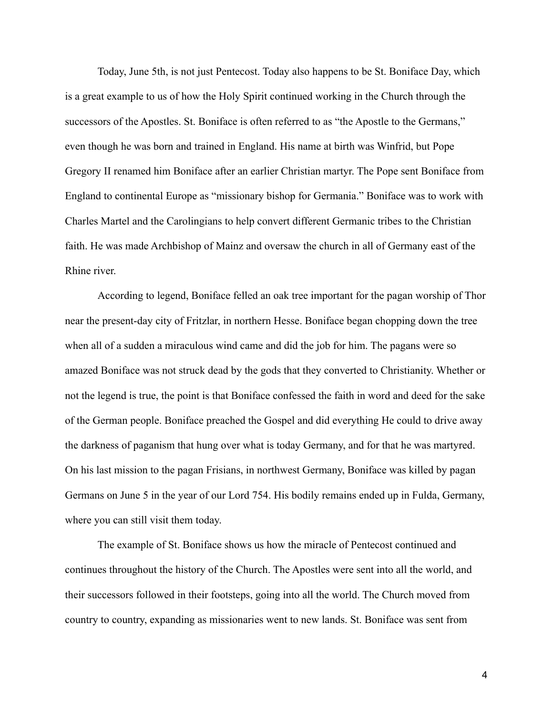Today, June 5th, is not just Pentecost. Today also happens to be St. Boniface Day, which is a great example to us of how the Holy Spirit continued working in the Church through the successors of the Apostles. St. Boniface is often referred to as "the Apostle to the Germans," even though he was born and trained in England. His name at birth was Winfrid, but Pope Gregory II renamed him Boniface after an earlier Christian martyr. The Pope sent Boniface from England to continental Europe as "missionary bishop for Germania." Boniface was to work with Charles Martel and the Carolingians to help convert different Germanic tribes to the Christian faith. He was made Archbishop of Mainz and oversaw the church in all of Germany east of the Rhine river.

According to legend, Boniface felled an oak tree important for the pagan worship of Thor near the present-day city of Fritzlar, in northern Hesse. Boniface began chopping down the tree when all of a sudden a miraculous wind came and did the job for him. The pagans were so amazed Boniface was not struck dead by the gods that they converted to Christianity. Whether or not the legend is true, the point is that Boniface confessed the faith in word and deed for the sake of the German people. Boniface preached the Gospel and did everything He could to drive away the darkness of paganism that hung over what is today Germany, and for that he was martyred. On his last mission to the pagan Frisians, in northwest Germany, Boniface was killed by pagan Germans on June 5 in the year of our Lord 754. His bodily remains ended up in Fulda, Germany, where you can still visit them today.

The example of St. Boniface shows us how the miracle of Pentecost continued and continues throughout the history of the Church. The Apostles were sent into all the world, and their successors followed in their footsteps, going into all the world. The Church moved from country to country, expanding as missionaries went to new lands. St. Boniface was sent from

4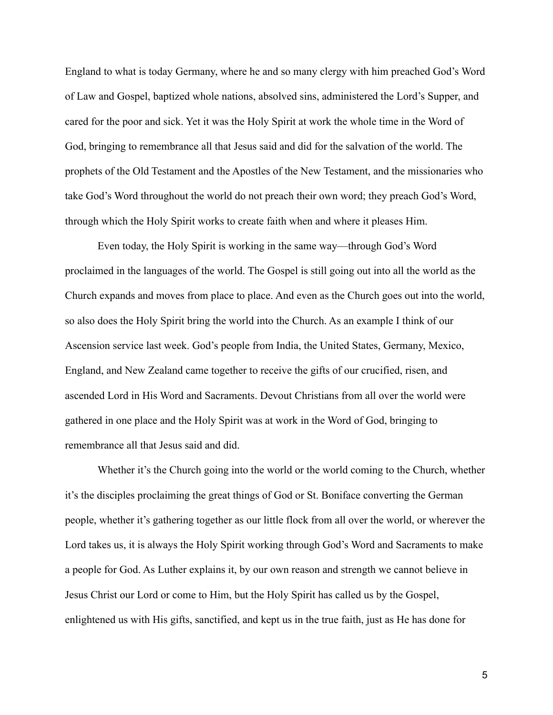England to what is today Germany, where he and so many clergy with him preached God's Word of Law and Gospel, baptized whole nations, absolved sins, administered the Lord's Supper, and cared for the poor and sick. Yet it was the Holy Spirit at work the whole time in the Word of God, bringing to remembrance all that Jesus said and did for the salvation of the world. The prophets of the Old Testament and the Apostles of the New Testament, and the missionaries who take God's Word throughout the world do not preach their own word; they preach God's Word, through which the Holy Spirit works to create faith when and where it pleases Him.

Even today, the Holy Spirit is working in the same way—through God's Word proclaimed in the languages of the world. The Gospel is still going out into all the world as the Church expands and moves from place to place. And even as the Church goes out into the world, so also does the Holy Spirit bring the world into the Church. As an example I think of our Ascension service last week. God's people from India, the United States, Germany, Mexico, England, and New Zealand came together to receive the gifts of our crucified, risen, and ascended Lord in His Word and Sacraments. Devout Christians from all over the world were gathered in one place and the Holy Spirit was at work in the Word of God, bringing to remembrance all that Jesus said and did.

Whether it's the Church going into the world or the world coming to the Church, whether it's the disciples proclaiming the great things of God or St. Boniface converting the German people, whether it's gathering together as our little flock from all over the world, or wherever the Lord takes us, it is always the Holy Spirit working through God's Word and Sacraments to make a people for God. As Luther explains it, by our own reason and strength we cannot believe in Jesus Christ our Lord or come to Him, but the Holy Spirit has called us by the Gospel, enlightened us with His gifts, sanctified, and kept us in the true faith, just as He has done for

5